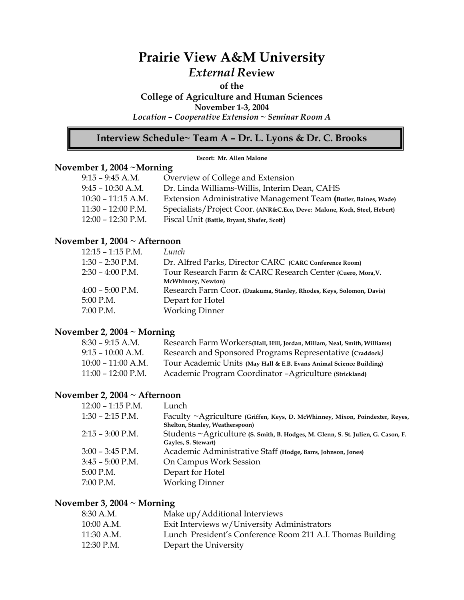# **Prairie View A&M University**  *External R***eview**

#### **of the**

**College of Agriculture and Human Sciences** 

**November 1-3, 2004** 

*Location – Cooperative Extension ~ Seminar Room A* 

# **Interview Schedule~ Team A – Dr. L. Lyons & Dr. C. Brooks**

#### **Escort: Mr. Allen Malone**

## **November 1, 2004 ~Morning**

| $9:15 - 9:45$ A.M.   | Overview of College and Extension                                        |
|----------------------|--------------------------------------------------------------------------|
| $9:45 - 10:30$ A.M.  | Dr. Linda Williams-Willis, Interim Dean, CAHS                            |
| $10:30 - 11:15$ A.M. | Extension Administrative Management Team (Butler, Baines, Wade)          |
| $11:30 - 12:00$ P.M. | Specialists/Project Coor. (ANR&C.Eco, Deve: Malone, Koch, Steel, Hebert) |
| $12:00 - 12:30$ P.M. | Fiscal Unit (Battle, Bryant, Shafer, Scott)                              |

## **November 1, 2004 ~ Afternoon**

| $12:15 - 1:15$ P.M. | Lunch                                                                |
|---------------------|----------------------------------------------------------------------|
| $1:30 - 2:30$ P.M.  | Dr. Alfred Parks, Director CARC (CARC Conference Room)               |
| $2:30 - 4:00$ P.M.  | Tour Research Farm & CARC Research Center (Cuero, Mora, V.           |
|                     | McWhinney, Newton)                                                   |
| $4:00 - 5:00$ P.M.  | Research Farm Coor. (Dzakuma, Stanley, Rhodes, Keys, Solomon, Davis) |
| 5:00 P.M.           | Depart for Hotel                                                     |
| 7:00 P.M.           | <b>Working Dinner</b>                                                |

### **November 2, 2004 ~ Morning**

| $8:30 - 9:15$ A.M.   | Research Farm Workers(Hall, Hill, Jordan, Miliam, Neal, Smith, Williams) |
|----------------------|--------------------------------------------------------------------------|
| $9:15 - 10:00$ A.M.  | Research and Sponsored Programs Representative (Craddock)                |
| $10:00 - 11:00$ A.M. | Tour Academic Units (May Hall & E.B. Evans Animal Science Building)      |
| $11:00 - 12:00$ P.M. | Academic Program Coordinator - Agriculture (Strickland)                  |

## **November 2, 2004 ~ Afternoon**

| $12:00 - 1:15$ P.M. | Lunch                                                                                                           |
|---------------------|-----------------------------------------------------------------------------------------------------------------|
| $1:30 - 2:15$ P.M.  | Faculty ~Agriculture (Griffen, Keys, D. McWhinney, Mixon, Poindexter, Reyes,<br>Shelton, Stanley, Weatherspoon) |
| $2:15 - 3:00$ P.M.  | Students ~Agriculture (S. Smith, B. Hodges, M. Glenn, S. St. Julien, G. Cason, F.<br>Gayles, S. Stewart)        |
| $3:00 - 3:45$ P.M.  | Academic Administrative Staff (Hodge, Barrs, Johnson, Jones)                                                    |
| $3:45 - 5:00$ P.M.  | On Campus Work Session                                                                                          |
| $5:00$ P.M.         | Depart for Hotel                                                                                                |
| 7:00 P.M.           | <b>Working Dinner</b>                                                                                           |

### **November 3, 2004 ~ Morning**

| 8:30 A.M.    | Make up/Additional Interviews                              |
|--------------|------------------------------------------------------------|
| $10:00$ A.M. | Exit Interviews w/University Administrators                |
| 11:30 A.M.   | Lunch President's Conference Room 211 A.I. Thomas Building |
| 12:30 P.M.   | Depart the University                                      |